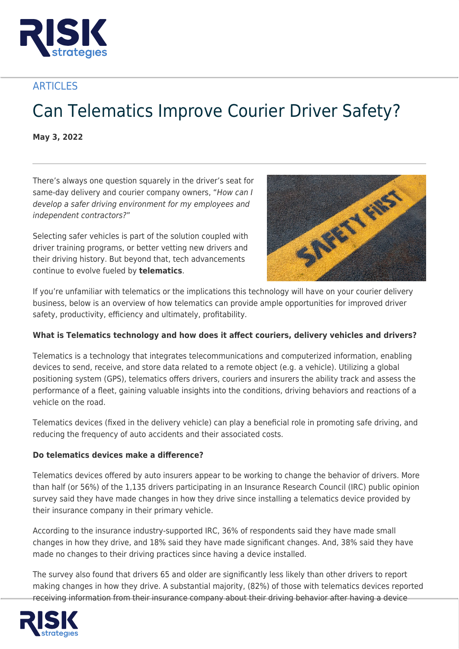

# **ARTICLES**

# Can Telematics Improve Courier Driver Safety?

**May 3, 2022**

There's always one question squarely in the driver's seat for same-day delivery and courier company owners, "How can I develop a safer driving environment for my employees and independent contractors?"

Selecting safer vehicles is part of the solution coupled with driver training programs, or better vetting new drivers and their driving history. But beyond that, tech advancements continue to evolve fueled by **telematics**.



If you're unfamiliar with telematics or the implications this technology will have on your courier delivery business, below is an overview of how telematics can provide ample opportunities for improved driver safety, productivity, efficiency and ultimately, profitability.

# **What is Telematics technology and how does it affect couriers, delivery vehicles and drivers?**

Telematics is a technology that integrates telecommunications and computerized information, enabling devices to send, receive, and store data related to a remote object (e.g. a vehicle). Utilizing a global positioning system (GPS), telematics offers drivers, couriers and insurers the ability track and assess the performance of a fleet, gaining valuable insights into the conditions, driving behaviors and reactions of a vehicle on the road.

Telematics devices (fixed in the delivery vehicle) can play a beneficial role in promoting safe driving, and reducing the frequency of auto accidents and their associated costs.

#### **Do telematics devices make a difference?**

Telematics devices offered by auto insurers appear to be working to change the behavior of drivers. More than half (or 56%) of the 1,135 drivers participating in an Insurance Research Council (IRC) public opinion survey said they have made changes in how they drive since installing a telematics device provided by their insurance company in their primary vehicle.

According to the insurance industry-supported IRC, 36% of respondents said they have made small changes in how they drive, and 18% said they have made significant changes. And, 38% said they have made no changes to their driving practices since having a device installed.

The survey also found that drivers 65 and older are significantly less likely than other drivers to report making changes in how they drive. A substantial majority, (82%) of those with telematics devices reported receiving information from their insurance company about their driving behavior after having a device

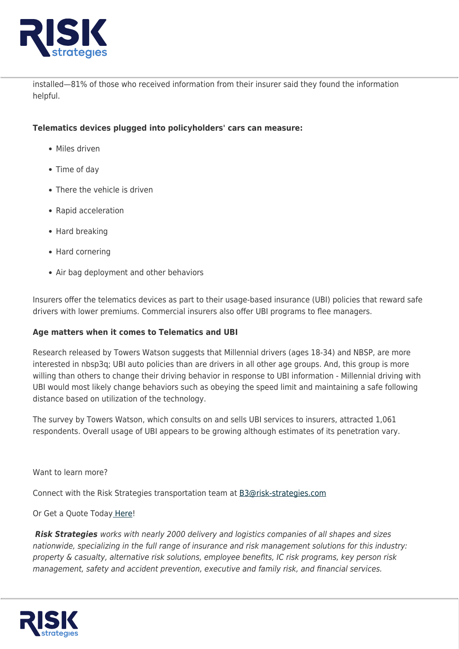

installed—81% of those who received information from their insurer said they found the information helpful.

#### **Telematics devices plugged into policyholders' cars can measure:**

- Miles driven
- Time of day
- There the vehicle is driven
- Rapid acceleration
- Hard breaking
- Hard cornering
- Air bag deployment and other behaviors

Insurers offer the telematics devices as part to their usage-based insurance (UBI) policies that reward safe drivers with lower premiums. Commercial insurers also offer UBI programs to flee managers.

# **Age matters when it comes to Telematics and UBI**

Research released by Towers Watson suggests that Millennial drivers (ages 18-34) and NBSP, are more interested in nbsp3q; UBI auto policies than are drivers in all other age groups. And, this group is more willing than others to change their driving behavior in response to UBI information - Millennial driving with UBI would most likely change behaviors such as obeying the speed limit and maintaining a safe following distance based on utilization of the technology.

The survey by Towers Watson, which consults on and sells UBI services to insurers, attracted 1,061 respondents. Overall usage of UBI appears to be growing although estimates of its penetration vary.

Want to learn more?

Connect with the Risk Strategies transportation team at [B3@risk-strategies.com](mailto:B3@risk-strategies.com)

# Or Get a Quote Toda[y Here!](https://www.risk-strategies.com/quote/transportation)

*Risk Strategies* works with nearly 2000 delivery and logistics companies of all shapes and sizes nationwide, specializing in the full range of insurance and risk management solutions for this industry: property & casualty, alternative risk solutions, employee benefits, IC risk programs, key person risk management, safety and accident prevention, executive and family risk, and financial services.